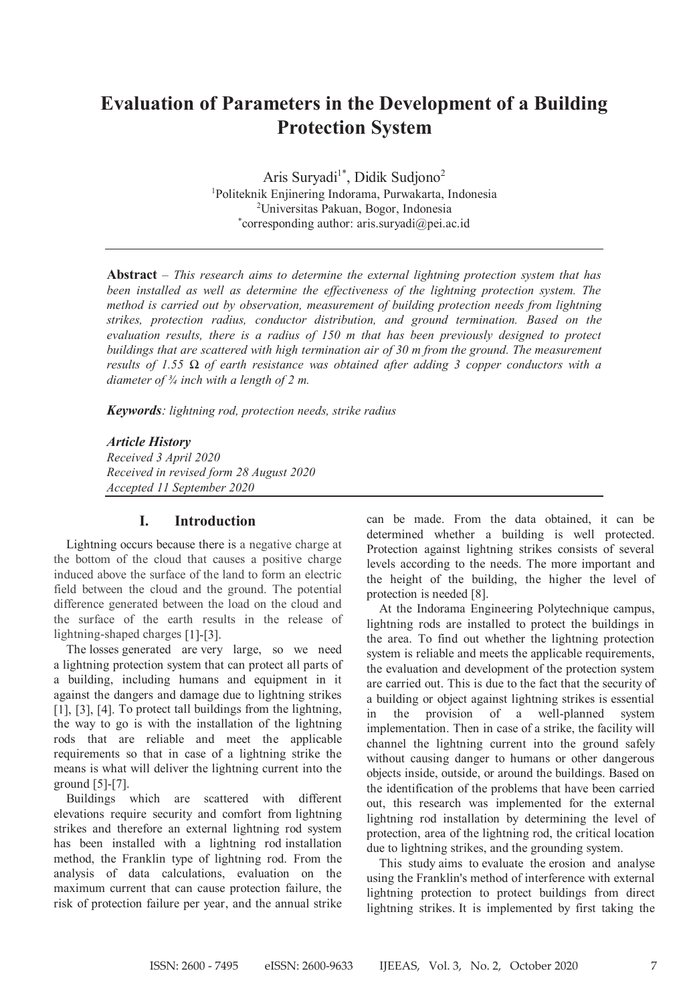# **Evaluation of Parameters in the Development of a Building Protection System**

Aris Suryadi<sup>1\*</sup>, Didik Sudjono<sup>2</sup> 1 Politeknik Enjinering Indorama, Purwakarta, Indonesia 2 Universitas Pakuan, Bogor, Indonesia \* corresponding author: aris.suryadi@pei.ac.id

**Abstract** – *This research aims to determine the external lightning protection system that has been installed as well as determine the effectiveness of the lightning protection system. The method is carried out by observation, measurement of building protection needs from lightning strikes, protection radius, conductor distribution, and ground termination. Based on the evaluation results, there is a radius of 150 m that has been previously designed to protect buildings that are scattered with high termination air of 30 m from the ground. The measurement results of 1.55 Ω of earth resistance was obtained after adding 3 copper conductors with a diameter of ¾ inch with a length of 2 m.*

*Keywords: lightning rod, protection needs, strike radius*

## *Article History*

*Received 3 April 2020 Received in revised form 28 August 2020 Accepted 11 September 2020*

## **I. Introduction**

Lightning occurs because there is a negative charge at the bottom of the cloud that causes a positive charge induced above the surface of the land to form an electric field between the cloud and the ground. The potential difference generated between the load on the cloud and the surface of the earth results in the release of lightning-shaped charges [1]-[3].

The losses generated are very large, so we need a lightning protection system that can protect all parts of a building, including humans and equipment in it against the dangers and damage due to lightning strikes [1], [3], [4]. To protect tall buildings from the lightning, the way to go is with the installation of the lightning rods that are reliable and meet the applicable requirements so that in case of a lightning strike the means is what will deliver the lightning current into the ground [5]-[7].

Buildings which are scattered with different elevations require security and comfort from lightning strikes and therefore an external lightning rod system has been installed with a lightning rod installation method, the Franklin type of lightning rod. From the analysis of data calculations, evaluation on the maximum current that can cause protection failure, the risk of protection failure per year, and the annual strike can be made. From the data obtained, it can be determined whether a building is well protected. Protection against lightning strikes consists of several levels according to the needs. The more important and the height of the building, the higher the level of protection is needed [8].

At the Indorama Engineering Polytechnique campus, lightning rods are installed to protect the buildings in the area. To find out whether the lightning protection system is reliable and meets the applicable requirements, the evaluation and development of the protection system are carried out. This is due to the fact that the security of a building or object against lightning strikes is essential in the provision of a well-planned system implementation. Then in case of a strike, the facility will channel the lightning current into the ground safely without causing danger to humans or other dangerous objects inside, outside, or around the buildings. Based on the identification of the problems that have been carried out, this research was implemented for the external lightning rod installation by determining the level of protection, area of the lightning rod, the critical location due to lightning strikes, and the grounding system.

This study aims to evaluate the erosion and analyse using the Franklin's method of interference with external lightning protection to protect buildings from direct lightning strikes. It is implemented by first taking the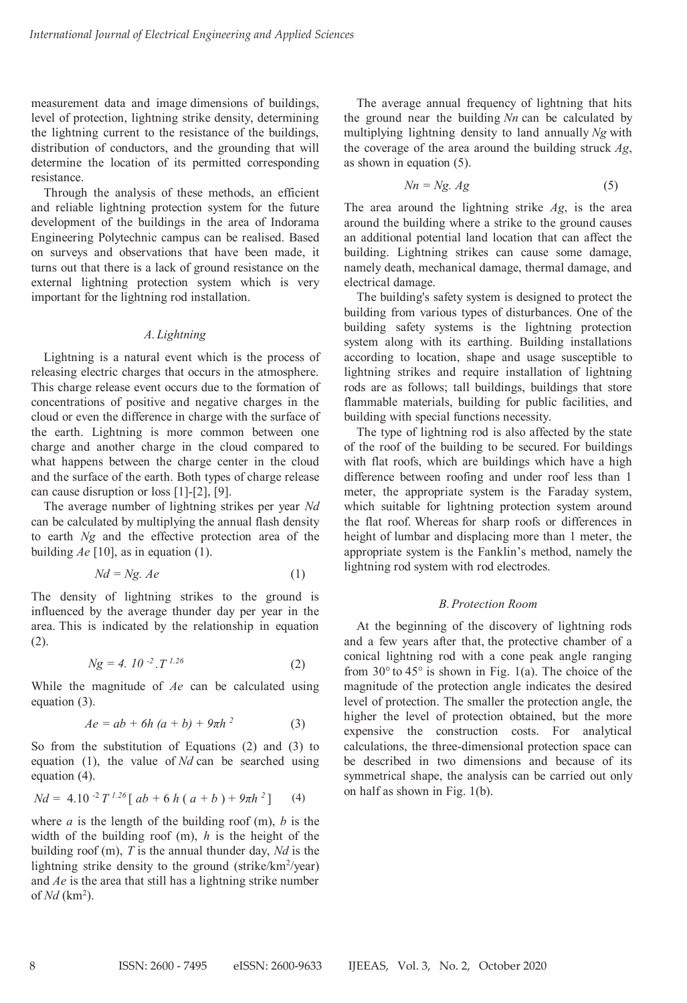measurement data and image dimensions of buildings, level of protection, lightning strike density, determining the lightning current to the resistance of the buildings, distribution of conductors, and the grounding that will determine the location of its permitted corresponding resistance.

Through the analysis of these methods, an efficient and reliable lightning protection system for the future development of the buildings in the area of Indorama Engineering Polytechnic campus can be realised. Based on surveys and observations that have been made, it turns out that there is a lack of ground resistance on the external lightning protection system which is very important for the lightning rod installation.

#### *A.Lightning*

Lightning is a natural event which is the process of releasing electric charges that occurs in the atmosphere. This charge release event occurs due to the formation of concentrations of positive and negative charges in the cloud or even the difference in charge with the surface of the earth. Lightning is more common between one charge and another charge in the cloud compared to what happens between the charge center in the cloud and the surface of the earth. Both types of charge release can cause disruption or loss [1]-[2], [9].

The average number of lightning strikes per year *Nd* can be calculated by multiplying the annual flash density to earth *Ng* and the effective protection area of the building *Ae* [10], as in equation (1).

$$
Nd = Ng. Ae \tag{1}
$$

The density of lightning strikes to the ground is influenced by the average thunder day per year in the area. This is indicated by the relationship in equation (2).

$$
Ng = 4.10^{-2}.T^{1.26}
$$
 (2)

While the magnitude of *Ae* can be calculated using equation (3).

$$
Ae = ab + 6h (a + b) + 9\pi h^{2}
$$
 (3)

So from the substitution of Equations (2) and (3) to equation (1), the value of *Nd* can be searched using equation (4).

$$
Nd = 4.10^{-2} T^{1.26} [ ab + 6 h ( a + b) + 9\pi h^2 ]
$$
 (4)

where  $a$  is the length of the building roof  $(m)$ ,  $b$  is the width of the building roof (m), *h* is the height of the building roof (m), *T* is the annual thunder day, *Nd* is the lightning strike density to the ground (strike/km<sup>2</sup>/year) and *Ae* is the area that still has a lightning strike number of *Nd* (km<sup>2</sup>).

The average annual frequency of lightning that hits the ground near the building *Nn* can be calculated by multiplying lightning density to land annually *Ng* with the coverage of the area around the building struck *Ag*, as shown in equation (5).

$$
Nn = Ng. Ag \tag{5}
$$

The area around the lightning strike *Ag*, is the area around the building where a strike to the ground causes an additional potential land location that can affect the building. Lightning strikes can cause some damage, namely death, mechanical damage, thermal damage, and electrical damage.

The building's safety system is designed to protect the building from various types of disturbances. One of the building safety systems is the lightning protection system along with its earthing. Building installations according to location, shape and usage susceptible to lightning strikes and require installation of lightning rods are as follows; tall buildings, buildings that store flammable materials, building for public facilities, and building with special functions necessity.

The type of lightning rod is also affected by the state of the roof of the building to be secured. For buildings with flat roofs, which are buildings which have a high difference between roofing and under roof less than 1 meter, the appropriate system is the Faraday system, which suitable for lightning protection system around the flat roof. Whereas for sharp roofs or differences in height of lumbar and displacing more than 1 meter, the appropriate system is the Fanklin's method, namely the lightning rod system with rod electrodes.

#### *B.Protection Room*

At the beginning of the discovery of lightning rods and a few years after that, the protective chamber of a conical lightning rod with a cone peak angle ranging from  $30^{\circ}$  to  $45^{\circ}$  is shown in Fig. 1(a). The choice of the magnitude of the protection angle indicates the desired level of protection. The smaller the protection angle, the higher the level of protection obtained, but the more expensive the construction costs. For analytical calculations, the three-dimensional protection space can be described in two dimensions and because of its symmetrical shape, the analysis can be carried out only on half as shown in Fig. 1(b).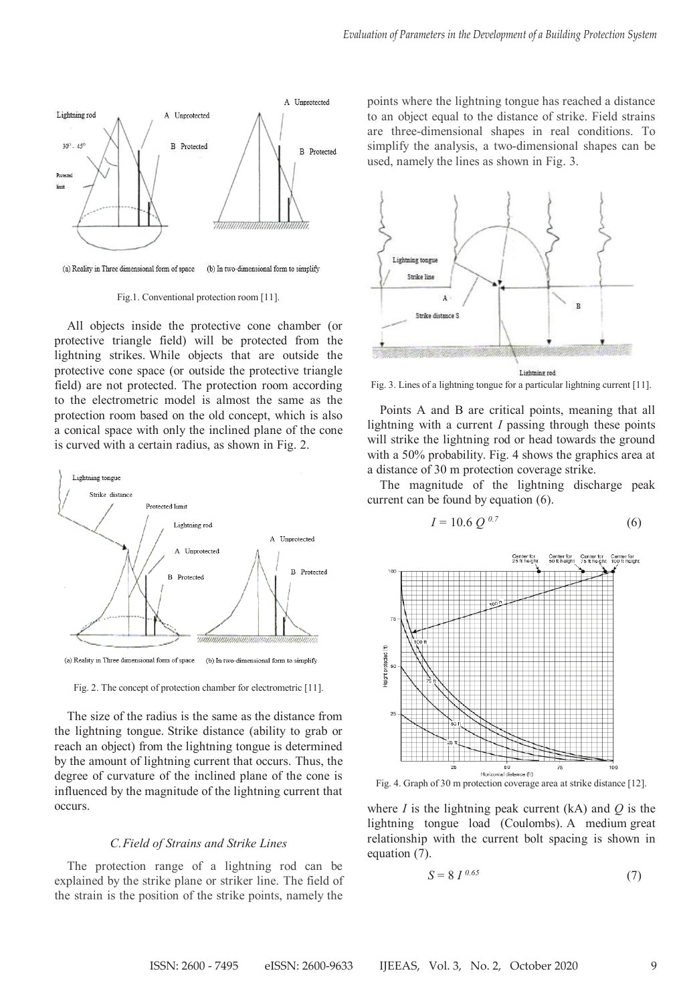

Fig.1. Conventional protection room [11].

All objects inside the protective cone chamber (or protective triangle field) will be protected from the lightning strikes. While objects that are outside the protective cone space (or outside the protective triangle field) are not protected. The protection room according to the electrometric model is almost the same as the protection room based on the old concept, which is also a conical space with only the inclined plane of the cone is curved with a certain radius, as shown in Fig. 2.



(a) Reality in Three dimensional form of space (b) In two-dimensional form to simplify

Fig. 2. The concept of protection chamber for electrometric [11].

The size of the radius is the same as the distance from the lightning tongue. Strike distance (ability to grab or reach an object) from the lightning tongue is determined by the amount of lightning current that occurs. Thus, the degree of curvature of the inclined plane of the cone is influenced by the magnitude of the lightning current that occurs.

#### *C.Field of Strains and Strike Lines*

The protection range of a lightning rod can be explained by the strike plane or striker line. The field of the strain is the position of the strike points, namely the

points where the lightning tongue has reached a distance to an object equal to the distance of strike. Field strains are three-dimensional shapes in real conditions. To simplify the analysis, a two-dimensional shapes can be used, namely the lines as shown in Fig. 3.



Fig. 3. Lines of a lightning tongue for a particular lightning current [11].

Points A and B are critical points, meaning that all lightning with a current *I* passing through these points will strike the lightning rod or head towards the ground with a 50% probability. Fig. 4 shows the graphics area at a distance of 30 m protection coverage strike.

The magnitude of the lightning discharge peak current can be found by equation (6).

$$
I = 10.6 \ Q^{0.7} \tag{6}
$$



where  $I$  is the lightning peak current (kA) and  $Q$  is the lightning tongue load (Coulombs). A medium great relationship with the current bolt spacing is shown in equation (7).

$$
S = 8 I^{0.65} \tag{7}
$$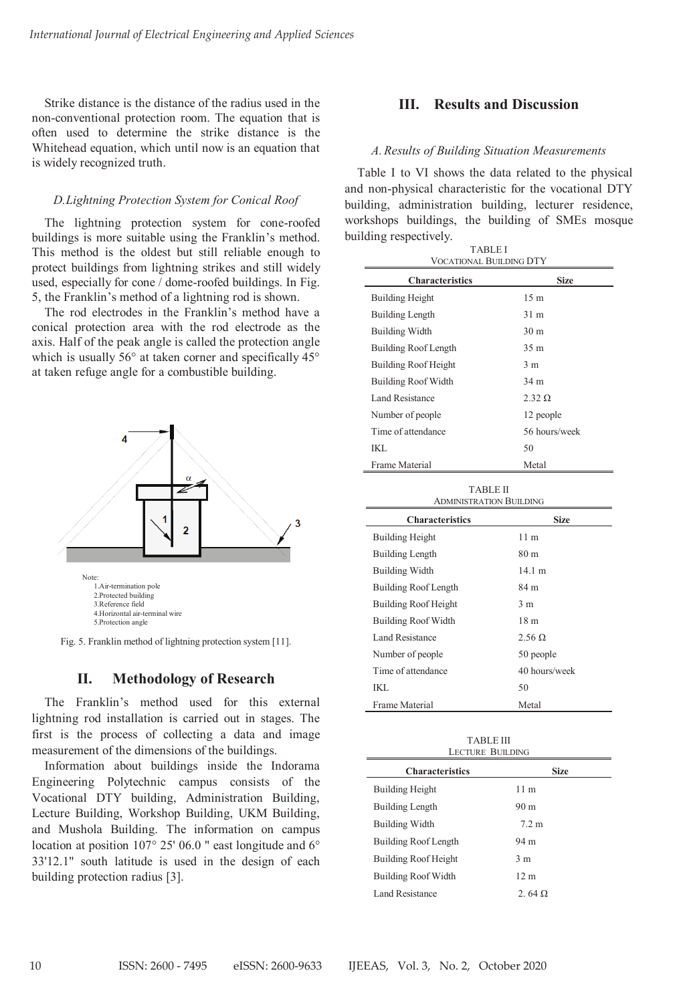Strike distance is the distance of the radius used in the non-conventional protection room. The equation that is often used to determine the strike distance is the Whitehead equation, which until now is an equation that is widely recognized truth.

## *D.Lightning Protection System for Conical Roof*

The lightning protection system for cone-roofed buildings is more suitable using the Franklin's method. This method is the oldest but still reliable enough to protect buildings from lightning strikes and still widely used, especially for cone / dome-roofed buildings. In Fig. 5, the Franklin's method of a lightning rod is shown.

The rod electrodes in the Franklin's method have a conical protection area with the rod electrode as the axis. Half of the peak angle is called the protection angle which is usually 56° at taken corner and specifically 45° at taken refuge angle for a combustible building.



Fig. 5. Franklin method of lightning protection system [11].

## **II. Methodology of Research**

The Franklin's method used for this external lightning rod installation is carried out in stages. The first is the process of collecting a data and image measurement of the dimensions of the buildings.

Information about buildings inside the Indorama Engineering Polytechnic campus consists of the Vocational DTY building, Administration Building, Lecture Building, Workshop Building, UKM Building, and Mushola Building. The information on campus location at position 107° 25' 06.0 " east longitude and 6° 33'12.1" south latitude is used in the design of each building protection radius [3].

## **III. Results and Discussion**

#### *A.Results of Building Situation Measurements*

Table I to VI shows the data related to the physical and non-physical characteristic for the vocational DTY building, administration building, lecturer residence, workshops buildings, the building of SMEs mosque building respectively. TABLE I

| <b>VOCATIONAL BUILDING DTY</b><br>Characteristics<br><b>Size</b> |                 |
|------------------------------------------------------------------|-----------------|
| <b>Building Height</b>                                           | 15 <sub>m</sub> |
| Building Length                                                  | 31 m            |
| <b>Building Width</b>                                            | 30 <sub>m</sub> |
| Building Roof Length                                             | 35 <sub>m</sub> |
| Building Roof Height                                             | 3 <sub>m</sub>  |
| <b>Building Roof Width</b>                                       | 34 m            |
| Land Resistance                                                  | $2.32 \Omega$   |
| Number of people                                                 | 12 people       |
| Time of attendance                                               | 56 hours/week   |
| IKL                                                              | 50              |
| Frame Material                                                   | Metal           |

| <b>TABLE II</b><br><b>ADMINISTRATION BUILDING</b> |                 |
|---------------------------------------------------|-----------------|
| <b>Characteristics</b>                            | Size            |
| <b>Building Height</b>                            | 11 <sub>m</sub> |
| <b>Building Length</b>                            | 80 m            |
| <b>Building Width</b>                             | 14.1 m          |
| Building Roof Length                              | 84 m            |
| Building Roof Height                              | 3 <sub>m</sub>  |
| Building Roof Width                               | 18 m            |
| Land Resistance                                   | $2.56 \Omega$   |
| Number of people                                  | 50 people       |
| Time of attendance                                | 40 hours/week   |
| IKL.                                              | 50              |
| Frame Material                                    | Metal           |

TABLE III LECTURE BUILDING

| <b>Characteristics</b>     | <b>Size</b>      |
|----------------------------|------------------|
| <b>Building Height</b>     | 11 <sub>m</sub>  |
| <b>Building Length</b>     | 90 <sub>m</sub>  |
| <b>Building Width</b>      | 7.2 <sub>m</sub> |
| Building Roof Length       | 94 m             |
| Building Roof Height       | 3 <sub>m</sub>   |
| <b>Building Roof Width</b> | 12 <sub>m</sub>  |
| Land Resistance            | $2.64 \Omega$    |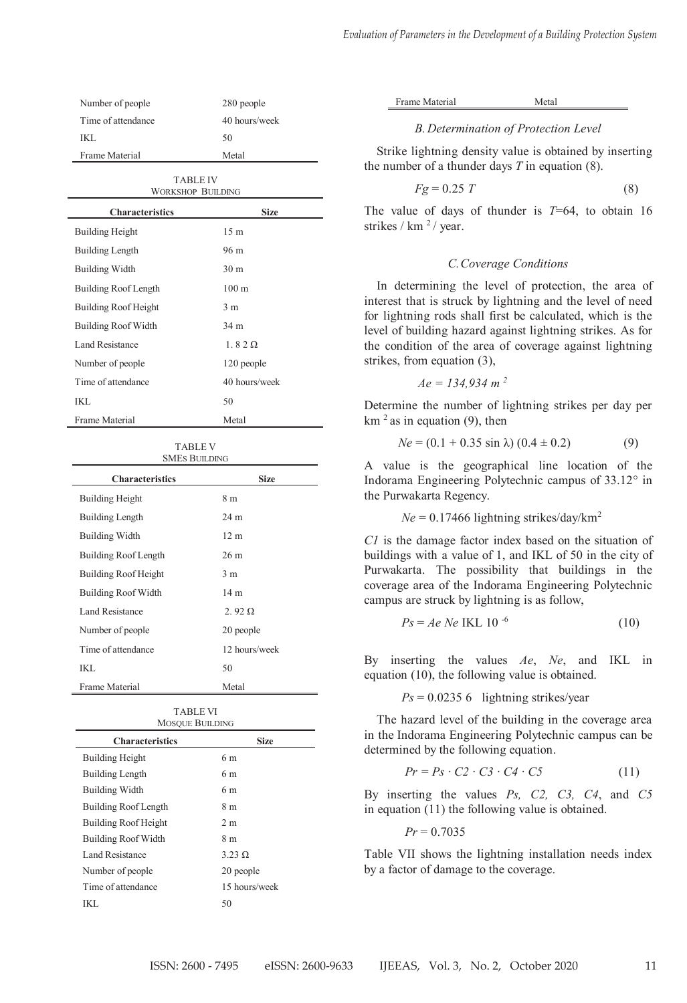| Number of people   | 280 people    |
|--------------------|---------------|
| Time of attendance | 40 hours/week |
| IKL.               | 50            |
| Frame Material     | Metal         |

| <b>TABLE IV</b><br><b>WORKSHOP BUILDING</b> |                  |  |
|---------------------------------------------|------------------|--|
| <b>Characteristics</b>                      | <b>Size</b>      |  |
| <b>Building Height</b>                      | 15 <sub>m</sub>  |  |
| Building Length                             | 96 m             |  |
| <b>Building Width</b>                       | 30 <sub>m</sub>  |  |
| Building Roof Length                        | 100 <sub>m</sub> |  |
| Building Roof Height                        | 3 <sub>m</sub>   |  |
| <b>Building Roof Width</b>                  | 34 m             |  |
| Land Resistance                             | $1.82\Omega$     |  |
| Number of people                            | 120 people       |  |
| Time of attendance                          | 40 hours/week    |  |
| IKL                                         | 50               |  |
| Frame Material                              | Metal            |  |

TABLE V SMES BUILDING

| Characteristics            | <b>Size</b>     |
|----------------------------|-----------------|
| <b>Building Height</b>     | 8 m             |
| <b>Building Length</b>     | 24 m            |
| <b>Building Width</b>      | 12 <sub>m</sub> |
| Building Roof Length       | 26 <sub>m</sub> |
| Building Roof Height       | 3 <sub>m</sub>  |
| <b>Building Roof Width</b> | 14 <sub>m</sub> |
| Land Resistance            | $2.92 \Omega$   |
| Number of people           | 20 people       |
| Time of attendance         | 12 hours/week   |
| IKI.                       | 50              |
| Frame Material             | Metal           |

| <b>TABLE VI</b><br><b>MOSQUE BUILDING</b> |                |  |
|-------------------------------------------|----------------|--|
| <b>Characteristics</b>                    | <b>Size</b>    |  |
| <b>Building Height</b>                    | 6 m            |  |
| <b>Building Length</b>                    | 6 m            |  |
| <b>Building Width</b>                     | 6 m            |  |
| Building Roof Length                      | 8 m            |  |
| Building Roof Height                      | 2 <sub>m</sub> |  |
| <b>Building Roof Width</b>                | 8 m            |  |
| Land Resistance                           | $3.23 \Omega$  |  |
| Number of people                          | 20 people      |  |
| Time of attendance                        | 15 hours/week  |  |
| IKL.                                      | 50             |  |

| Frame Material |  |
|----------------|--|
|                |  |

Metal

#### *B.Determination of Protection Level*

Strike lightning density value is obtained by inserting the number of a thunder days *T* in equation (8).

$$
Fg = 0.25 T \tag{8}
$$

The value of days of thunder is  $T=64$ , to obtain 16 strikes / km <sup>2</sup> / year.

#### *C.Coverage Conditions*

In determining the level of protection, the area of interest that is struck by lightning and the level of need for lightning rods shall first be calculated, which is the level of building hazard against lightning strikes. As for the condition of the area of coverage against lightning strikes, from equation (3),

$$
Ae = 134,934 \; m^2
$$

Determine the number of lightning strikes per day per  $km<sup>2</sup>$  as in equation (9), then

$$
Ne = (0.1 + 0.35 \sin \lambda) (0.4 \pm 0.2) \tag{9}
$$

A value is the geographical line location of the Indorama Engineering Polytechnic campus of 33.12° in the Purwakarta Regency.

 $Ne = 0.17466$  lightning strikes/day/km<sup>2</sup>

*C1* is the damage factor index based on the situation of buildings with a value of 1, and IKL of 50 in the city of Purwakarta. The possibility that buildings in the coverage area of the Indorama Engineering Polytechnic campus are struck by lightning is as follow,

$$
Ps = Ae \, Ne \, IKL \, 10^{-6} \tag{10}
$$

By inserting the values *Ae*, *Ne*, and IKL in equation (10), the following value is obtained.

 $Ps = 0.02356$  lightning strikes/year

The hazard level of the building in the coverage area in the Indorama Engineering Polytechnic campus can be determined by the following equation.

$$
Pr = Ps \cdot C2 \cdot C3 \cdot C4 \cdot C5 \tag{11}
$$

By inserting the values *Ps, C2, C3, C4*, and *C5* in equation (11) the following value is obtained.

 $Pr = 0.7035$ 

Table VII shows the lightning installation needs index by a factor of damage to the coverage.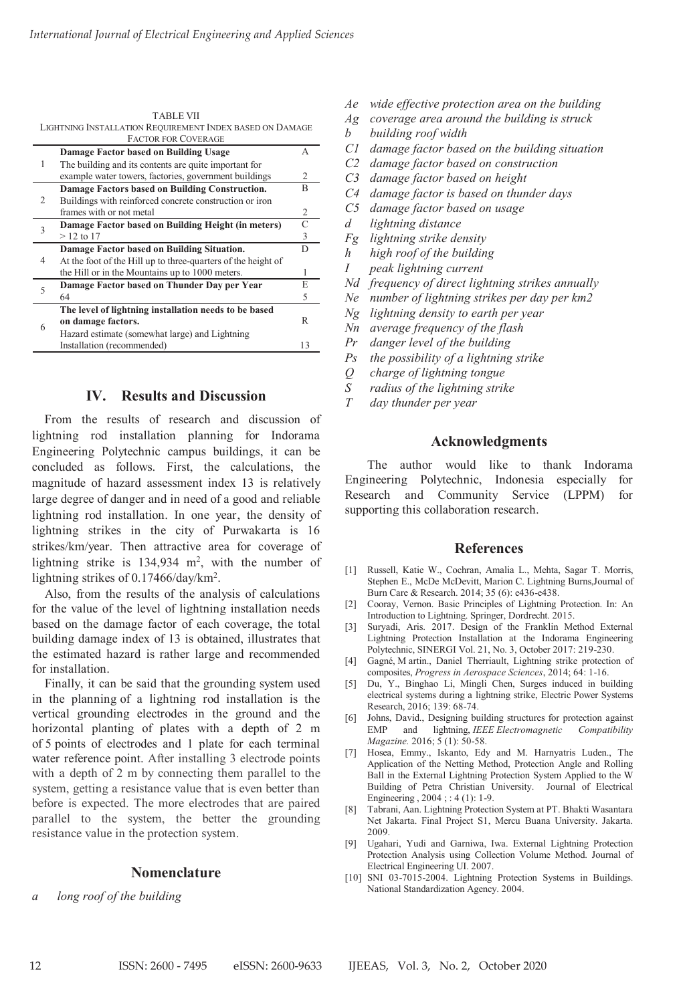|                                                        | IABLE VII                                                     |    |
|--------------------------------------------------------|---------------------------------------------------------------|----|
|                                                        | LIGHTNING INSTALLATION REQUIREMENT INDEX BASED ON DAMAGE      |    |
|                                                        | <b>FACTOR FOR COVERAGE</b>                                    |    |
|                                                        | Damage Factor based on Building Usage                         | A  |
| 1                                                      | The building and its contents are quite important for         |    |
|                                                        | example water towers, factories, government buildings         | 2  |
|                                                        | Damage Factors based on Building Construction.                | R  |
| $\overline{c}$                                         | Buildings with reinforced concrete construction or iron       |    |
|                                                        | frames with or not metal                                      | 2  |
| 3                                                      | Damage Factor based on Building Height (in meters)            | C  |
|                                                        | $> 12$ to 17                                                  | 3  |
|                                                        | Damage Factor based on Building Situation.                    | D  |
| $\overline{4}$                                         | At the foot of the Hill up to three-quarters of the height of |    |
|                                                        | the Hill or in the Mountains up to 1000 meters.               | 1  |
| Damage Factor based on Thunder Day per Year<br>5<br>64 |                                                               | E  |
|                                                        |                                                               | 5  |
|                                                        | The level of lightning installation needs to be based         |    |
|                                                        | on damage factors.                                            | R  |
| 6                                                      | Hazard estimate (somewhat large) and Lightning                |    |
|                                                        | Installation (recommended)                                    | 13 |
|                                                        |                                                               |    |

TABLE VII

## **IV. Results and Discussion**

From the results of research and discussion of lightning rod installation planning for Indorama Engineering Polytechnic campus buildings, it can be concluded as follows. First, the calculations, the magnitude of hazard assessment index 13 is relatively large degree of danger and in need of a good and reliable lightning rod installation. In one year, the density of lightning strikes in the city of Purwakarta is 16 strikes/km/year. Then attractive area for coverage of lightning strike is  $134,934$  m<sup>2</sup>, with the number of lightning strikes of 0.17466/day/km2 .

Also, from the results of the analysis of calculations for the value of the level of lightning installation needs based on the damage factor of each coverage, the total building damage index of 13 is obtained, illustrates that the estimated hazard is rather large and recommended for installation.

Finally, it can be said that the grounding system used in the planning of a lightning rod installation is the vertical grounding electrodes in the ground and the horizontal planting of plates with a depth of 2 m of 5 points of electrodes and 1 plate for each terminal water reference point. After installing 3 electrode points with a depth of 2 m by connecting them parallel to the system, getting a resistance value that is even better than before is expected. The more electrodes that are paired parallel to the system, the better the grounding resistance value in the protection system.

## **Nomenclature**

*a long roof of the building*

- *Ae wide effective protection area on the building*
- *Ag coverage area around the building is struck*
- *b building roof width*
- *C1 damage factor based on the building situation*
- *C2 damage factor based on construction*
- *C3 damage factor based on height*
- *C4 damage factor is based on thunder days*
- *C5 damage factor based on usage*
- *d lightning distance*
- *Fg lightning strike density*
- *h high roof of the building*
- *I peak lightning current*
- *Nd frequency of direct lightning strikes annually*
- *Ne number of lightning strikes per day per km2*
- *Ng lightning density to earth per year*
- *Nn average frequency of the flash*
- *Pr danger level of the building*
- *Ps the possibility of a lightning strike*
- *Q charge of lightning tongue*
- *S radius of the lightning strike*
- *T day thunder per year*

## **Acknowledgments**

The author would like to thank Indorama Engineering Polytechnic, Indonesia especially for Research and Community Service (LPPM) for supporting this collaboration research.

## **References**

- [1] Russell, Katie W., Cochran, Amalia L., Mehta, Sagar T. Morris, Stephen E., McDe McDevitt, Marion C. Lightning Burns,Journal of Burn Care & Research. 2014; 35 (6): e436-e438.
- [2] Cooray, Vernon. Basic Principles of Lightning Protection. In: An Introduction to Lightning. Springer, Dordrecht. 2015.
- [3] Suryadi, Aris. 2017. Design of the Franklin Method External Lightning Protection Installation at the Indorama Engineering Polytechnic, SINERGI Vol. 21, No. 3, October 2017: 219-230.
- [4] Gagné, M artin., Daniel Therriault, Lightning strike protection of composites, *Progress in Aerospace Sciences*, 2014; 64: 1-16.
- [5] Du, Y., Binghao Li, Mingli Chen, Surges induced in building electrical systems during a lightning strike, Electric Power Systems Research, 2016; 139: 68-74.
- [6] Johns, David., Designing building structures for protection against and lightning, *IEEE Electromagnetic Compatibility Magazine.* 2016; 5 (1): 50-58.
- [7] Hosea, Emmy., Iskanto, Edy and M. Harnyatris Luden., The Application of the Netting Method, Protection Angle and Rolling Ball in the External Lightning Protection System Applied to the W Building of Petra Christian University. Journal of Electrical Engineering , 2004 ; : 4 (1): 1-9.
- [8] Tabrani, Aan. Lightning Protection System at PT. Bhakti Wasantara Net Jakarta. Final Project S1, Mercu Buana University. Jakarta. 2009.
- [9] Ugahari, Yudi and Garniwa, Iwa. External Lightning Protection Protection Analysis using Collection Volume Method. Journal of Electrical Engineering UI. 2007.
- [10] SNI 03-7015-2004. Lightning Protection Systems in Buildings. National Standardization Agency. 2004.